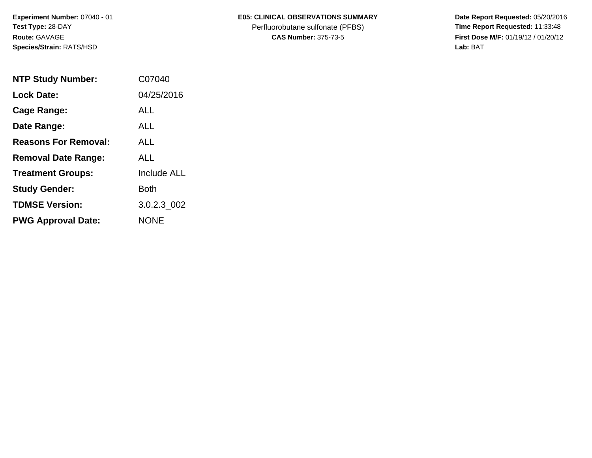**Experiment Number:** 07040 - 01**Test Type:** 28-DAY**Route:** GAVAGE**Species/Strain:** RATS/HSD

## **E05: CLINICAL OBSERVATIONS SUMMARY**

Perfluorobutane sulfonate (PFBS)<br>**CAS Number:** 375-73-5

 **Date Report Requested:** 05/20/2016 **First Dose M/F:** 01/19/12 / 01/20/12<br>Lab: BAT **Lab:** BAT

| <b>NTP Study Number:</b>    | C07040             |
|-----------------------------|--------------------|
| <b>Lock Date:</b>           | 04/25/2016         |
| Cage Range:                 | ALL                |
| Date Range:                 | AI L               |
| <b>Reasons For Removal:</b> | AI I               |
| <b>Removal Date Range:</b>  | ALL                |
| <b>Treatment Groups:</b>    | <b>Include ALL</b> |
| <b>Study Gender:</b>        | Both               |
| <b>TDMSE Version:</b>       | 3.0.2.3 002        |
| <b>PWG Approval Date:</b>   | <b>NONE</b>        |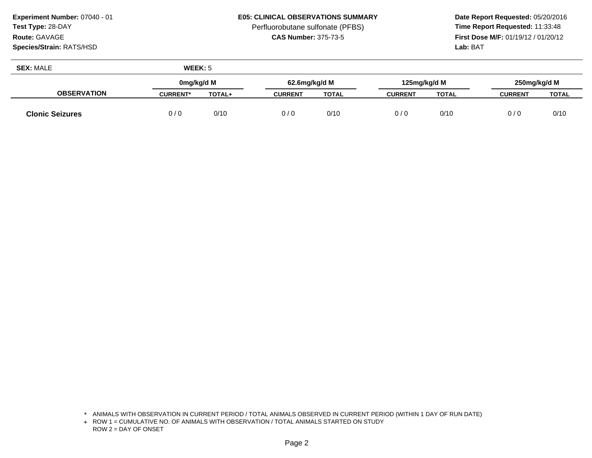**Species/Strain:** RATS/HSD

### **E05: CLINICAL OBSERVATIONS SUMMARY**

Perfluorobutane sulfonate (PFBS)<br>**CAS Number:** 375-73-5

 **Date Report Requested:** 05/20/2016 **First Dose M/F:** 01/19/12 / 01/20/12<br>**Lab:** BAT **Lab:** BAT

| <b>SEX: MALE</b>       | WEEK: 5         |               |                |              |                |              |                |              |
|------------------------|-----------------|---------------|----------------|--------------|----------------|--------------|----------------|--------------|
|                        | 0mg/kg/d M      |               | 62.6mg/kg/d M  |              | 125mg/kg/d M   |              | 250mg/kg/d M   |              |
| <b>OBSERVATION</b>     | <b>CURRENT*</b> | <b>TOTAL+</b> | <b>CURRENT</b> | <b>TOTAL</b> | <b>CURRENT</b> | <b>TOTAL</b> | <b>CURRENT</b> | <b>TOTAL</b> |
| <b>Clonic Seizures</b> | 0/0             | 0/10          | 0/0            | 0/10         | 0/0            | 0/10         | 0/0            | 0/10         |

<sup>\*</sup> ANIMALS WITH OBSERVATION IN CURRENT PERIOD / TOTAL ANIMALS OBSERVED IN CURRENT PERIOD (WITHIN 1 DAY OF RUN DATE)

<sup>+</sup> ROW 1 = CUMULATIVE NO. OF ANIMALS WITH OBSERVATION / TOTAL ANIMALS STARTED ON STUDY ROW 2 = DAY OF ONSET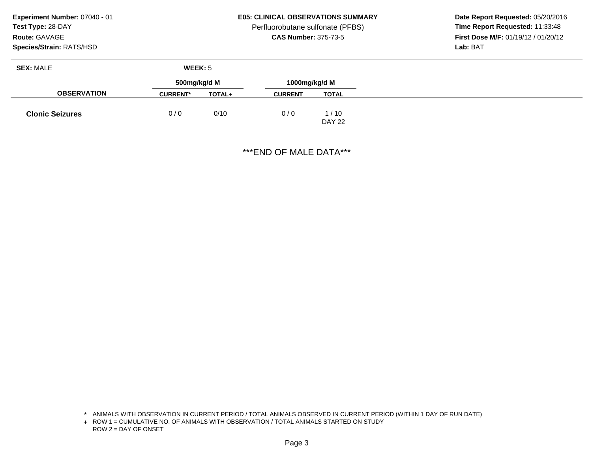# **Species/Strain:** RATS/HSD

**E05: CLINICAL OBSERVATIONS SUMMARY**

Perfluorobutane sulfonate (PFBS)<br>**CAS Number:** 375-73-5

 **Date Report Requested:** 05/20/2016 **First Dose M/F:** 01/19/12 / 01/20/12<br>**Lab:** BAT **Lab:** BAT

| <b>SEX: MALE</b>       | WEEK: 5         |               |                |                       |
|------------------------|-----------------|---------------|----------------|-----------------------|
|                        | 500mg/kg/d M    |               | 1000mg/kg/d M  |                       |
| <b>OBSERVATION</b>     | <b>CURRENT*</b> | <b>TOTAL+</b> | <b>CURRENT</b> | <b>TOTAL</b>          |
| <b>Clonic Seizures</b> | 0/0             | 0/10          | 0/0            | 1/10<br><b>DAY 22</b> |

\*\*\*END OF MALE DATA\*\*\*

<sup>\*</sup> ANIMALS WITH OBSERVATION IN CURRENT PERIOD / TOTAL ANIMALS OBSERVED IN CURRENT PERIOD (WITHIN 1 DAY OF RUN DATE)

<sup>+</sup> ROW 1 = CUMULATIVE NO. OF ANIMALS WITH OBSERVATION / TOTAL ANIMALS STARTED ON STUDY ROW 2 = DAY OF ONSET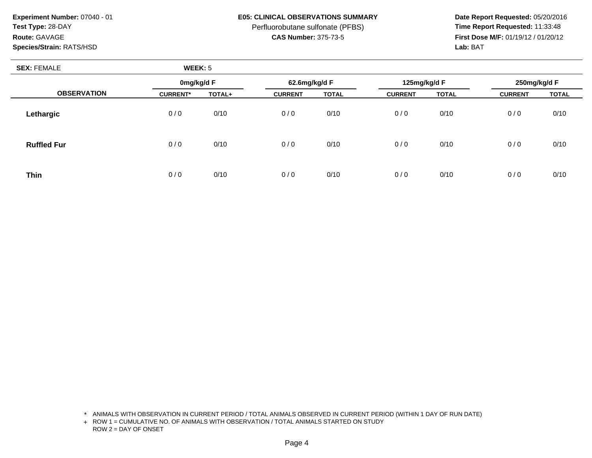**Species/Strain:** RATS/HSD

### **E05: CLINICAL OBSERVATIONS SUMMARY**

Perfluorobutane sulfonate (PFBS)<br>**CAS Number:** 375-73-5

 **Date Report Requested:** 05/20/2016 **First Dose M/F:** 01/19/12 / 01/20/12<br>**Lab:** BAT **Lab:** BAT

| <b>SEX: FEMALE</b> | WEEK: 5         |        |                |              |                |              |                |              |  |
|--------------------|-----------------|--------|----------------|--------------|----------------|--------------|----------------|--------------|--|
|                    | 0mg/kg/d F      |        | 62.6mg/kg/d F  |              | 125mg/kg/d F   |              | 250mg/kg/d F   |              |  |
| <b>OBSERVATION</b> | <b>CURRENT*</b> | TOTAL+ | <b>CURRENT</b> | <b>TOTAL</b> | <b>CURRENT</b> | <b>TOTAL</b> | <b>CURRENT</b> | <b>TOTAL</b> |  |
| Lethargic          | 0/0             | 0/10   | 0/0            | 0/10         | 0/0            | 0/10         | 0/0            | 0/10         |  |
| <b>Ruffled Fur</b> | 0/0             | 0/10   | 0/0            | 0/10         | 0/0            | 0/10         | 0/0            | 0/10         |  |
| <b>Thin</b>        | 0/0             | 0/10   | 0/0            | 0/10         | 0/0            | 0/10         | 0/0            | 0/10         |  |

\* ANIMALS WITH OBSERVATION IN CURRENT PERIOD / TOTAL ANIMALS OBSERVED IN CURRENT PERIOD (WITHIN 1 DAY OF RUN DATE)

+ ROW 1 = CUMULATIVE NO. OF ANIMALS WITH OBSERVATION / TOTAL ANIMALS STARTED ON STUDY ROW 2 = DAY OF ONSET